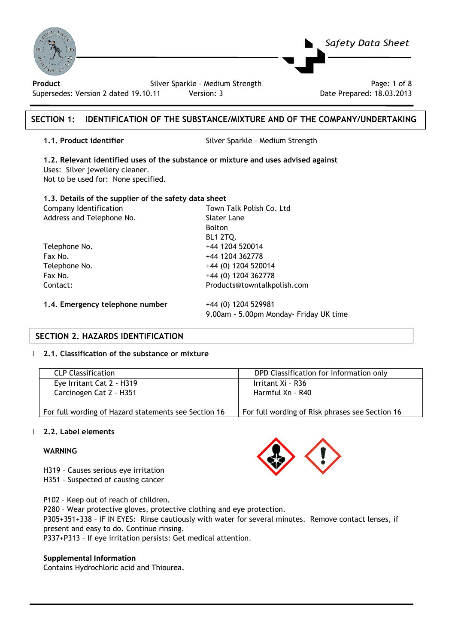| $\delta$<br>Product<br>Supersedes: Version 2 dated 19.10.11                                                                                                                                                           | Safety Data Sheet<br>Silver Sparkle - Medium Strength<br>Page: 1 of 8<br>Version: 3<br>Date Prepared: 18.03.2013 |
|-----------------------------------------------------------------------------------------------------------------------------------------------------------------------------------------------------------------------|------------------------------------------------------------------------------------------------------------------|
| <b>SECTION 1:</b>                                                                                                                                                                                                     | <b>IDENTIFICATION OF THE SUBSTANCE/MIXTURE AND OF THE COMPANY/UNDERTAKING</b>                                    |
| 1.1. Product identifier                                                                                                                                                                                               | Silver Sparkle - Medium Strength                                                                                 |
| 1.2. Relevant identified uses of the substance or mixture and uses advised against<br>Uses: Silver jewellery cleaner.<br>Not to be used for: None specified.<br>1.3. Details of the supplier of the safety data sheet |                                                                                                                  |
| Company Identification                                                                                                                                                                                                | Town Talk Polish Co. Ltd.                                                                                        |
| Address and Telephone No.                                                                                                                                                                                             | Slater Lane                                                                                                      |
|                                                                                                                                                                                                                       | <b>Bolton</b>                                                                                                    |
|                                                                                                                                                                                                                       | <b>BL1 2TQ.</b>                                                                                                  |
| Telephone No.                                                                                                                                                                                                         | +44 1204 520014                                                                                                  |
| Fax No.                                                                                                                                                                                                               | +44 1204 362778                                                                                                  |
| Telephone No.                                                                                                                                                                                                         | +44 (0) 1204 520014                                                                                              |
| Fax No.                                                                                                                                                                                                               | +44 (0) 1204 362778                                                                                              |
| Contact:                                                                                                                                                                                                              | Products@towntalkpolish.com                                                                                      |
| 1.4. Emergency telephone number                                                                                                                                                                                       | +44 (0) 1204 529981                                                                                              |
|                                                                                                                                                                                                                       | 9.00am - 5.00pm Monday- Friday UK time                                                                           |

# **SECTION 2. HAZARDS IDENTIFICATION**

#### | **2.1. Classification of the substance or mixture**

| <b>CLP Classification</b>                            | DPD Classification for information only         |
|------------------------------------------------------|-------------------------------------------------|
| Eye Irritant Cat 2 - H319                            | Irritant Xi - R36                               |
| Carcinogen Cat 2 - H351                              | Harmful Xn - R40                                |
| For full wording of Hazard statements see Section 16 | For full wording of Risk phrases see Section 16 |

#### | **2.2. Label elements**

#### **WARNING**

- H319 Causes serious eye irritation H351 – Suspected of causing cancer
- P102 Keep out of reach of children.

P280 – Wear protective gloves, protective clothing and eye protection.

P305+351+338 – IF IN EYES: Rinse cautiously with water for several minutes. Remove contact lenses, if present and easy to do. Continue rinsing.

P337+P313 – If eye irritation persists: Get medical attention.

### **Supplemental Information**

Contains Hydrochloric acid and Thiourea.

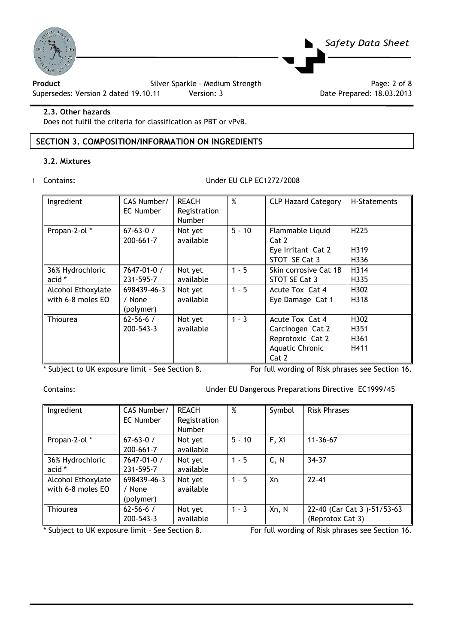

**Product** Product **Silver Sparkle - Medium Strength** Product Page: 2 of 8<br>Supersedes: Version 2 dated 19.10.11 Version: 3 Pate Prepared: 18.03.2013

Supersedes: Version 2 dated 19.10.11 Version: 3

#### **2.3. Other hazards**

Does not fulfil the criteria for classification as PBT or vPvB.

# **SECTION 3. COMPOSITION/INFORMATION ON INGREDIENTS**

#### **3.2. Mixtures**

#### | Contains: Under EU CLP EC1272/2008

| Ingredient                              | CAS Number/<br>EC Number           | <b>REACH</b><br>Registration<br>Number | $\%$     | <b>CLP Hazard Category</b>                                                          | H-Statements                     |
|-----------------------------------------|------------------------------------|----------------------------------------|----------|-------------------------------------------------------------------------------------|----------------------------------|
| Propan-2-ol*                            | $67 - 63 - 0 /$<br>$200 - 661 - 7$ | Not yet<br>available                   | $5 - 10$ | Flammable Liquid<br>Cat 2<br>Eye Irritant Cat 2<br>STOT SE Cat 3                    | H <sub>225</sub><br>H319<br>H336 |
| 36% Hydrochloric<br>acid *              | 7647-01-0 /<br>231-595-7           | Not yet<br>available                   | $1 - 5$  | Skin corrosive Cat 1B<br>STOT SE Cat 3                                              | H314<br>H335                     |
| Alcohol Ethoxylate<br>with 6-8 moles EO | 698439-46-3<br>/ None<br>(polymer) | Not yet<br>available                   | $1 - 5$  | Acute Tox Cat 4<br>Eye Damage Cat 1                                                 | H302<br>H318                     |
| Thiourea                                | $62 - 56 - 6 /$<br>$200 - 543 - 3$ | Not yet<br>available                   | $1 - 3$  | Acute Tox Cat 4<br>Carcinogen Cat 2<br>Reprotoxic Cat 2<br>Aquatic Chronic<br>Cat 2 | H302<br>H351<br>H361<br>H411     |

*Safety Data Sheet* 

\* Subject to UK exposure limit – See Section 8. For full wording of Risk phrases see Section 16.

Contains: Under EU Dangerous Preparations Directive EC1999/45

| Ingredient         | CAS Number/     | <b>REACH</b> | %        | Symbol | <b>Risk Phrases</b>        |
|--------------------|-----------------|--------------|----------|--------|----------------------------|
|                    | EC Number       | Registration |          |        |                            |
|                    |                 | Number       |          |        |                            |
| Propan-2-ol*       | $67 - 63 - 0 /$ | Not yet      | $5 - 10$ | F, Xi  | $11 - 36 - 67$             |
|                    | 200-661-7       | available    |          |        |                            |
| 36% Hydrochloric   | 7647-01-0 /     | Not yet      | $1 - 5$  | C, N   | $34 - 37$                  |
| acid *             | 231-595-7       | available    |          |        |                            |
| Alcohol Ethoxylate | 698439-46-3     | Not yet      | $1 - 5$  | Xn     | $22 - 41$                  |
| with 6-8 moles EO  | / None          | available    |          |        |                            |
|                    | (polymer)       |              |          |        |                            |
| <b>Thiourea</b>    | $62 - 56 - 6 /$ | Not yet      | $1 - 3$  | Xn, N  | 22-40 (Car Cat 3)-51/53-63 |
|                    | 200-543-3       | available    |          |        | (Reprotox Cat 3)           |

\* Subject to UK exposure limit – See Section 8. For full wording of Risk phrases see Section 16.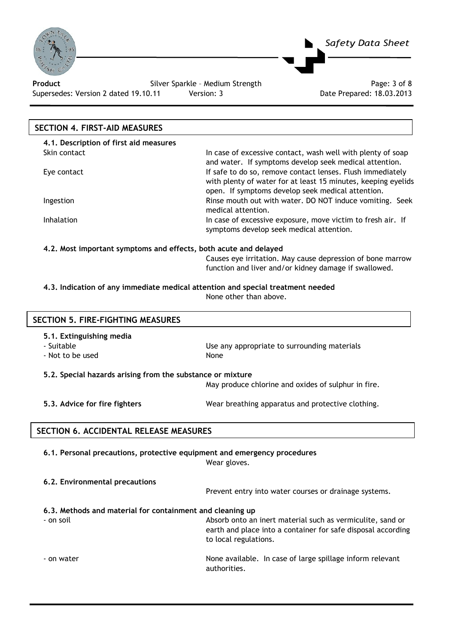

Product **Product Silver Sparkle - Medium Strength** Page: 3 of 8 Supersedes: Version 2 dated 19.10.11 Version: 3 Date Prepared: 18.03.2013

# **SECTION 4. FIRST-AID MEASURES**

| 4.1. Description of first aid measures |                                                                                                                                                                                  |
|----------------------------------------|----------------------------------------------------------------------------------------------------------------------------------------------------------------------------------|
| Skin contact                           | In case of excessive contact, wash well with plenty of soap<br>and water. If symptoms develop seek medical attention.                                                            |
| Eye contact                            | If safe to do so, remove contact lenses. Flush immediately<br>with plenty of water for at least 15 minutes, keeping eyelids<br>open. If symptoms develop seek medical attention. |
| <b>Ingestion</b>                       | Rinse mouth out with water. DO NOT induce vomiting. Seek<br>medical attention.                                                                                                   |
| <b>Inhalation</b>                      | In case of excessive exposure, move victim to fresh air. If<br>symptoms develop seek medical attention.                                                                          |

*Safety Data Sheet* 

#### **4.2. Most important symptoms and effects, both acute and delayed**

Causes eye irritation. May cause depression of bone marrow function and liver and/or kidney damage if swallowed.

#### **4.3. Indication of any immediate medical attention and special treatment needed**  None other than above.

| <b>SECTION 5. FIRE-FIGHTING MEASURES</b>                                 |                                                       |  |
|--------------------------------------------------------------------------|-------------------------------------------------------|--|
| 5.1. Extinguishing media<br>- Suitable<br>- Not to be used               | Use any appropriate to surrounding materials<br>None  |  |
| 5.2. Special hazards arising from the substance or mixture               |                                                       |  |
|                                                                          | May produce chlorine and oxides of sulphur in fire.   |  |
| 5.3. Advice for fire fighters                                            | Wear breathing apparatus and protective clothing.     |  |
| SECTION 6. ACCIDENTAL RELEASE MEASURES                                   |                                                       |  |
| 6.1. Personal precautions, protective equipment and emergency procedures | Wear gloves.                                          |  |
| 6.2. Environmental precautions                                           | Prevent entry into water courses or drainage systems. |  |

### **6.3. Methods and material for containment and cleaning up**

- on soil Absorb onto an inert material such as vermiculite, sand or earth and place into a container for safe disposal according to local regulations. - on water **None available.** In case of large spillage inform relevant

authorities.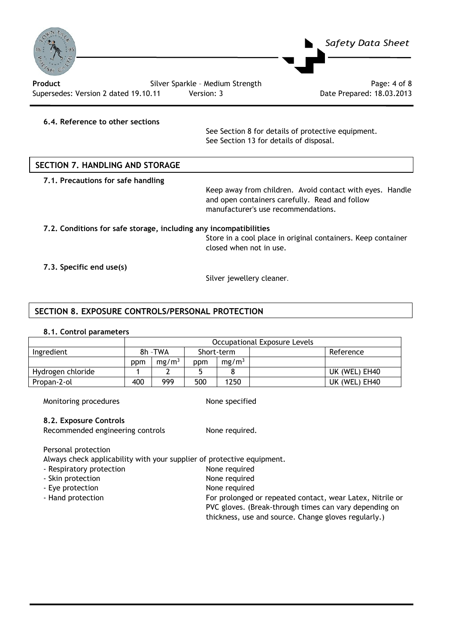

Supersedes: Version 2 dated 19.10.11 Version: 3 Date Prepared: 18.03.2013

#### **6.4. Reference to other sections**

 See Section 8 for details of protective equipment. See Section 13 for details of disposal.

# **SECTION 7. HANDLING AND STORAGE**

**7.1. Precautions for safe handling** 

Keep away from children. Avoid contact with eyes. Handle and open containers carefully. Read and follow manufacturer's use recommendations.

# **7.2. Conditions for safe storage, including any incompatibilities**

Store in a cool place in original containers. Keep container closed when not in use.

#### **7.3. Specific end use(s)**

Silver jewellery cleaner.

### **SECTION 8. EXPOSURE CONTROLS/PERSONAL PROTECTION**

#### **8.1. Control parameters**

|                   | Occupational Exposure Levels |                   |     |                   |               |
|-------------------|------------------------------|-------------------|-----|-------------------|---------------|
| Ingredient        |                              | 8h - TWA          |     | Short-term        | Reference     |
|                   | ppm                          | mg/m <sup>3</sup> | ppm | mg/m <sup>3</sup> |               |
| Hydrogen chloride |                              |                   |     |                   | UK (WEL) EH40 |
| Propan-2-ol       | 400                          | 999               | 500 | 1250              | UK (WEL) EH40 |

Monitoring procedures None specified

#### **8.2. Exposure Controls**

Recommended engineering controls None required.

Personal protection

Always check applicability with your supplier of protective equipment.

- Respiratory protection None required
- Skin protection None required
- Eye protection and a set of the None required
- 
- Hand protection For prolonged or repeated contact, wear Latex, Nitrile or PVC gloves. (Break-through times can vary depending on thickness, use and source. Change gloves regularly.)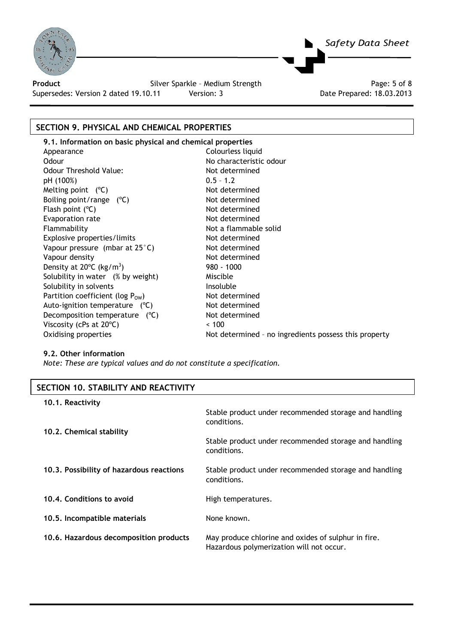

Supersedes: Version 2 dated 19.10.11 Version: 3 Date Prepared: 18.03.2013

**Product Silver Sparkle - Medium Strength Product** Page: 5 of 8

*Safety Data Sheet* 

# **SECTION 9. PHYSICAL AND CHEMICAL PROPERTIES**

**9.1. Information on basic physical and chemical properties**  Appearance Colourless liquid Odour **No characteristic odour** Odour Threshold Value: Not determined  $pH (100%)$  0.5 – 1.2 Melting point  $(^{\circ}C)$  Not determined Boiling point/range  $(^{\circ}C)$  Not determined Flash point (°C) and the set of the Not determined Evaporation rate Not determined Flammability **Not a flammable solid** Not a flammable solid Explosive properties/limits Not determined Vapour pressure (mbar at 25°C) Not determined Vapour density Not determined Density at 20°C (kg/m<sup>3</sup>) Solubility in water (% by weight) Miscible Solubility in solvents **Insoluble** Partition coefficient (log  $P_{OW}$ ) Not determined<br>Auto-ignition temperature (°C) Not determined Auto-ignition temperature  $(°C)$ Decomposition temperature (°C) Not determined Viscosity (cPs at 20°C)  $\leq$  100

) 980 - 1000 Oxidising properties Not determined - no ingredients possess this property

### **9.2. Other information**

*Note: These are typical values and do not constitute a specification.* 

| SECTION 10, STABILITY AND REACTIVITY     |                                                                                                 |
|------------------------------------------|-------------------------------------------------------------------------------------------------|
| 10.1. Reactivity                         |                                                                                                 |
|                                          | Stable product under recommended storage and handling<br>conditions.                            |
| 10.2. Chemical stability                 |                                                                                                 |
|                                          | Stable product under recommended storage and handling<br>conditions.                            |
| 10.3. Possibility of hazardous reactions | Stable product under recommended storage and handling<br>conditions.                            |
| 10.4. Conditions to avoid                | High temperatures.                                                                              |
| 10.5. Incompatible materials             | None known.                                                                                     |
| 10.6. Hazardous decomposition products   | May produce chlorine and oxides of sulphur in fire.<br>Hazardous polymerization will not occur. |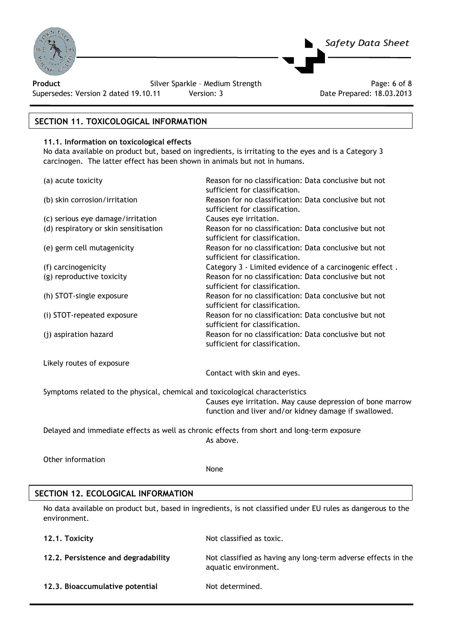

Product **Product Silver Sparkle - Medium Strength** Page: 6 of 8

Supersedes: Version 2 dated 19.10.11 Version: 3 Date Prepared: 18.03.2013

# **SECTION 11. TOXICOLOGICAL INFORMATION**

#### **11.1. Information on toxicological effects**

No data available on product but, based on ingredients, is irritating to the eyes and is a Category 3 carcinogen. The latter effect has been shown in animals but not in humans.

*Safety Data Sheet* 

| (a) acute toxicity                                                           | Reason for no classification: Data conclusive but not<br>sufficient for classification. |
|------------------------------------------------------------------------------|-----------------------------------------------------------------------------------------|
| (b) skin corrosion/irritation                                                | Reason for no classification: Data conclusive but not<br>sufficient for classification. |
| (c) serious eye damage/irritation                                            | Causes eye irritation.                                                                  |
| (d) respiratory or skin sensitisation                                        | Reason for no classification: Data conclusive but not<br>sufficient for classification. |
| (e) germ cell mutagenicity                                                   | Reason for no classification: Data conclusive but not<br>sufficient for classification. |
| (f) carcinogenicity                                                          | Category 3 - Limited evidence of a carcinogenic effect.                                 |
| (g) reproductive toxicity                                                    | Reason for no classification: Data conclusive but not<br>sufficient for classification. |
| (h) STOT-single exposure                                                     | Reason for no classification: Data conclusive but not<br>sufficient for classification. |
| (i) STOT-repeated exposure                                                   | Reason for no classification: Data conclusive but not<br>sufficient for classification. |
| (j) aspiration hazard                                                        | Reason for no classification: Data conclusive but not<br>sufficient for classification. |
| Likely routes of exposure                                                    |                                                                                         |
|                                                                              | Contact with skin and eyes.                                                             |
| Symptoms related to the physical, chemical and toxicological characteristics |                                                                                         |
|                                                                              | Causes eye irritation. May cause depression of bone marrow                              |

function and liver and/or kidney damage if swallowed.

Delayed and immediate effects as well as chronic effects from short and long-term exposure As above.

Other information

None

# **SECTION 12. ECOLOGICAL INFORMATION**

No data available on product but, based in ingredients, is not classified under EU rules as dangerous to the environment.

| 12.1. Toxicity                      | Not classified as toxic.                                                              |
|-------------------------------------|---------------------------------------------------------------------------------------|
| 12.2. Persistence and degradability | Not classified as having any long-term adverse effects in the<br>aquatic environment. |
| 12.3. Bioaccumulative potential     | Not determined.                                                                       |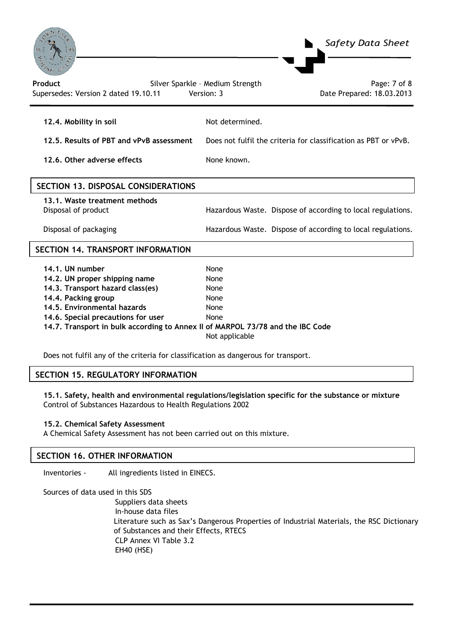

| 12.4. Mobility in soil                   | Not determined.                                                 |
|------------------------------------------|-----------------------------------------------------------------|
| 12.5. Results of PBT and vPvB assessment | Does not fulfil the criteria for classification as PBT or vPvB. |

**12.6. Other adverse effects** None known.

| SECTION 13, DISPOSAL CONSIDERATIONS                  |                                                             |
|------------------------------------------------------|-------------------------------------------------------------|
| 13.1. Waste treatment methods<br>Disposal of product | Hazardous Waste. Dispose of according to local regulations. |
| Disposal of packaging                                | Hazardous Waste. Dispose of according to local regulations. |

# **SECTION 14. TRANSPORT INFORMATION**

| 14.1. UN number                                                                | None           |
|--------------------------------------------------------------------------------|----------------|
| 14.2. UN proper shipping name                                                  | None           |
| 14.3. Transport hazard class(es)                                               | None           |
| 14.4. Packing group                                                            | None           |
| 14.5. Environmental hazards                                                    | None           |
| 14.6. Special precautions for user                                             | None           |
| 14.7. Transport in bulk according to Annex II of MARPOL 73/78 and the IBC Code |                |
|                                                                                | Not applicable |

Does not fulfil any of the criteria for classification as dangerous for transport.

### **SECTION 15. REGULATORY INFORMATION**

**15.1. Safety, health and environmental regulations/legislation specific for the substance or mixture**  Control of Substances Hazardous to Health Regulations 2002

#### **15.2. Chemical Safety Assessment**

A Chemical Safety Assessment has not been carried out on this mixture.

# **SECTION 16. OTHER INFORMATION**

Inventories - All ingredients listed in EINECS.

Sources of data used in this SDS Suppliers data sheets In-house data files Literature such as Sax's Dangerous Properties of Industrial Materials, the RSC Dictionary of Substances and their Effects, RTECS CLP Annex VI Table 3.2 EH40 (HSE)